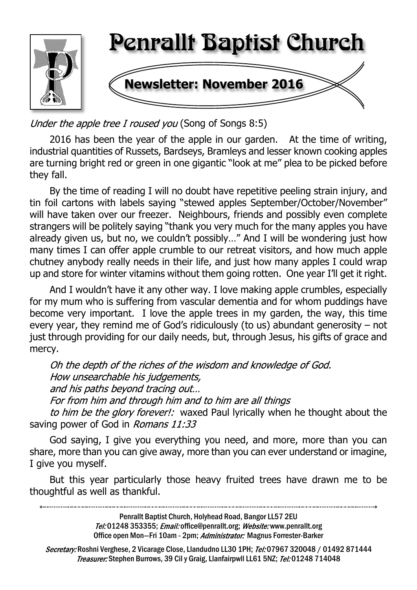

Under the apple tree I roused you (Song of Songs 8:5)

2016 has been the year of the apple in our garden. At the time of writing, industrial quantities of Russets, Bardseys, Bramleys and lesser known cooking apples are turning bright red or green in one gigantic "look at me" plea to be picked before they fall.

By the time of reading I will no doubt have repetitive peeling strain injury, and tin foil cartons with labels saying "stewed apples September/October/November" will have taken over our freezer. Neighbours, friends and possibly even complete strangers will be politely saying "thank you very much for the many apples you have already given us, but no, we couldn't possibly…" And I will be wondering just how many times I can offer apple crumble to our retreat visitors, and how much apple chutney anybody really needs in their life, and just how many apples I could wrap up and store for winter vitamins without them going rotten. One year I'll get it right.

And I wouldn't have it any other way. I love making apple crumbles, especially for my mum who is suffering from vascular dementia and for whom puddings have become very important. I love the apple trees in my garden, the way, this time every year, they remind me of God's ridiculously (to us) abundant generosity – not just through providing for our daily needs, but, through Jesus, his gifts of grace and mercy.

Oh the depth of the riches of the wisdom and knowledge of God. How unsearchable his judgements, and his paths beyond tracing out... For from him and through him and to him are all things to him be the glory forever!: waxed Paul Ivrically when he thought about the saving power of God in Romans 11:33

God saying, I give you everything you need, and more, more than you can share, more than you can give away, more than you can ever understand or imagine, I give you myself.

But this year particularly those heavy fruited trees have drawn me to be thoughtful as well as thankful.

Penrallt Baptist Church, Holyhead Road, Bangor LL57 2EU Tel:01248 353355; Email: office@penrallt.org; Website: www.penrallt.org Office open Mon-Fri 10am - 2pm; Administrator: Magnus Forrester-Barker

Secretary: Roshni Verghese, 2 Vicarage Close, Llandudno LL30 1PH; Tel: 07967 320048 / 01492 871444 Treasurer: Stephen Burrows, 39 Cil y Graig, Llanfairpwll LL61 5NZ; Tel: 01248 714048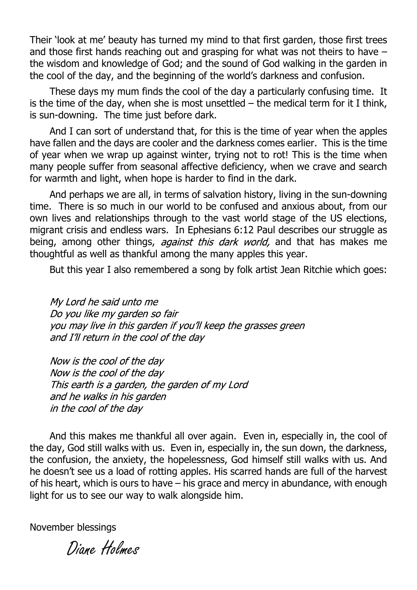Their 'look at me' beauty has turned my mind to that first garden, those first trees and those first hands reaching out and grasping for what was not theirs to have – the wisdom and knowledge of God; and the sound of God walking in the garden in the cool of the day, and the beginning of the world's darkness and confusion.

These days my mum finds the cool of the day a particularly confusing time. It is the time of the day, when she is most unsettled  $-$  the medical term for it I think, is sun-downing. The time just before dark.

And I can sort of understand that, for this is the time of year when the apples have fallen and the days are cooler and the darkness comes earlier. This is the time of year when we wrap up against winter, trying not to rot! This is the time when many people suffer from seasonal affective deficiency, when we crave and search for warmth and light, when hope is harder to find in the dark.

And perhaps we are all, in terms of salvation history, living in the sun-downing time. There is so much in our world to be confused and anxious about, from our own lives and relationships through to the vast world stage of the US elections, migrant crisis and endless wars. In Ephesians 6:12 Paul describes our struggle as being, among other things, *against this dark world*, and that has makes me thoughtful as well as thankful among the many apples this year.

But this year I also remembered a song by folk artist Jean Ritchie which goes:

My Lord he said unto me Do you like my garden so fair you may live in this garden if you'll keep the grasses green and I'll return in the cool of the day

Now is the cool of the day Now is the cool of the day This earth is a garden, the garden of my Lord and he walks in his garden in the cool of the day

And this makes me thankful all over again. Even in, especially in, the cool of the day, God still walks with us. Even in, especially in, the sun down, the darkness, the confusion, the anxiety, the hopelessness, God himself still walks with us. And he doesn't see us a load of rotting apples. His scarred hands are full of the harvest of his heart, which is ours to have – his grace and mercy in abundance, with enough light for us to see our way to walk alongside him.

November blessings

Diane Holmes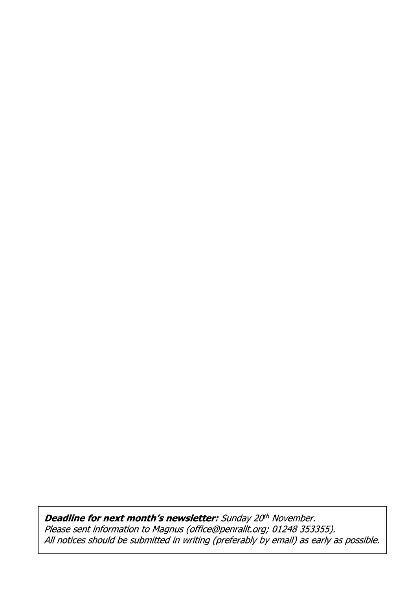Deadline for next month's newsletter: Sunday 20<sup>th</sup> November. Peaaning for non-monentry matricials realisty as necellistic.<br>Please sent information to Magnus (office@penrallt.org; 01248 353355).<br>All notices should be submitted in writing (preferably by email) as early as possible.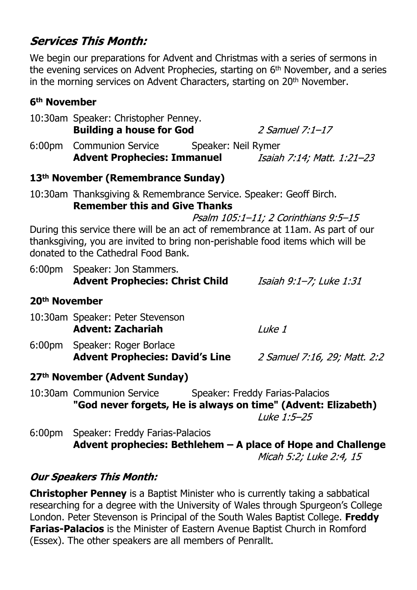# **Services This Month:**

We begin our preparations for Advent and Christmas with a series of sermons in the evening services on Advent Prophecies, starting on 6<sup>th</sup> November, and a series in the morning services on Advent Characters, starting on 20<sup>th</sup> November.

#### **6th November**

|                                                                                                                                                                                                          | 10:30am Speaker: Christopher Penney.                                                                                       |                                      |  |  |  |
|----------------------------------------------------------------------------------------------------------------------------------------------------------------------------------------------------------|----------------------------------------------------------------------------------------------------------------------------|--------------------------------------|--|--|--|
|                                                                                                                                                                                                          | <b>Building a house for God</b>                                                                                            | $2$ Samuel 7:1-17                    |  |  |  |
| 6:00 <sub>pm</sub>                                                                                                                                                                                       | Communion Service Speaker: Neil Rymer                                                                                      |                                      |  |  |  |
|                                                                                                                                                                                                          | <b>Advent Prophecies: Immanuel</b>                                                                                         | Isaiah 7:14; Matt. 1:21-23           |  |  |  |
|                                                                                                                                                                                                          | 13 <sup>th</sup> November (Remembrance Sunday)                                                                             |                                      |  |  |  |
|                                                                                                                                                                                                          | 10:30am Thanksgiving & Remembrance Service. Speaker: Geoff Birch.<br><b>Remember this and Give Thanks</b>                  |                                      |  |  |  |
|                                                                                                                                                                                                          |                                                                                                                            | Psalm 105:1-11; 2 Corinthians 9:5-15 |  |  |  |
| During this service there will be an act of remembrance at 11am. As part of our<br>thanksgiving, you are invited to bring non-perishable food items which will be<br>donated to the Cathedral Food Bank. |                                                                                                                            |                                      |  |  |  |
|                                                                                                                                                                                                          | 6:00pm Speaker: Jon Stammers.<br><b>Advent Prophecies: Christ Child</b>                                                    | Isaiah 9:1-7; Luke 1:31              |  |  |  |
| 20 <sup>th</sup> November                                                                                                                                                                                |                                                                                                                            |                                      |  |  |  |
|                                                                                                                                                                                                          | 10:30am Speaker: Peter Stevenson<br><b>Advent: Zachariah</b>                                                               | Luke 1                               |  |  |  |
|                                                                                                                                                                                                          | 6:00pm Speaker: Roger Borlace<br><b>Advent Prophecies: David's Line</b>                                                    | 2 Samuel 7:16, 29; Matt. 2:2         |  |  |  |
|                                                                                                                                                                                                          | 27th November (Advent Sunday)                                                                                              |                                      |  |  |  |
|                                                                                                                                                                                                          | 10:30am Communion Service Speaker: Freddy Farias-Palacios<br>"God never forgets, He is always on time" (Advent: Elizabeth) | Luke 1:5-25                          |  |  |  |
| 6:00 <sub>pm</sub>                                                                                                                                                                                       | Speaker: Freddy Farias-Palacios<br>Advent prophecies: Bethlehem - A place of Hope and Challenge                            |                                      |  |  |  |

**Adde of Hope and Challenge<br>Micah 5:2; Luke 2:4, 15** 

#### **Our Speakers This Month:**

**Christopher Penney** is a Baptist Minister who is currently taking a sabbatical researching for a degree with the University of Wales through Spurgeon's College London. Peter Stevenson is Principal of the South Wales Baptist College. **Freddy Farias-Palacios** is the Minister of Eastern Avenue Baptist Church in Romford (Essex). The other speakers are all members of Penrallt.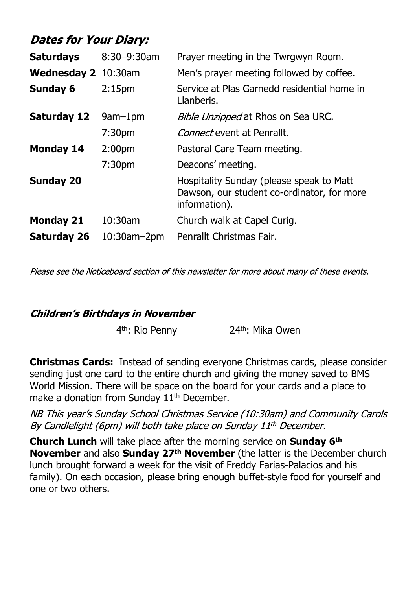| <b>Dates for Your Diary:</b> |  |
|------------------------------|--|
|------------------------------|--|

| <b>Saturdays</b>           | 8:30-9:30am        | Prayer meeting in the Twrgwyn Room.                                                                     |
|----------------------------|--------------------|---------------------------------------------------------------------------------------------------------|
| <b>Wednesday 2</b> 10:30am |                    | Men's prayer meeting followed by coffee.                                                                |
| <b>Sunday 6</b>            | 2:15 <sub>pm</sub> | Service at Plas Garnedd residential home in<br>Llanberis.                                               |
| <b>Saturday 12</b>         | $9am-1pm$          | Bible Unzipped at Rhos on Sea URC.                                                                      |
|                            | 7:30 <sub>pm</sub> | <i>Connect</i> event at Penrallt.                                                                       |
| <b>Monday 14</b>           | 2:00 <sub>pm</sub> | Pastoral Care Team meeting.                                                                             |
|                            | 7:30 <sub>pm</sub> | Deacons' meeting.                                                                                       |
| <b>Sunday 20</b>           |                    | Hospitality Sunday (please speak to Matt<br>Dawson, our student co-ordinator, for more<br>information). |
| <b>Monday 21</b>           | 10:30am            | Church walk at Capel Curig.                                                                             |
| <b>Saturday 26</b>         | $10:30$ am $-2$ pm | Penrallt Christmas Fair.                                                                                |

Please see the Noticeboard section of this newsletter for more about many of these events.

#### **Children's Birthdays in November**

4<sup>th</sup>: Rio Penny 24<sup>th</sup>: Mika Owen

**Christmas Cards:** Instead of sending everyone Christmas cards, please consider sending just one card to the entire church and giving the money saved to BMS World Mission. There will be space on the board for your cards and a place to make a donation from Sunday 11<sup>th</sup> December.

NB This year's Sunday School Christmas Service (10:30am) and Community Carols By Candlelight (6pm) will both take place on Sunday 11th December.

**Church Lunch** will take place after the morning service on **Sunday 6th November** and also **Sunday 27th November** (the latter is the December church lunch brought forward a week for the visit of Freddy Farias-Palacios and his family). On each occasion, please bring enough buffet-style food for yourself and one or two others.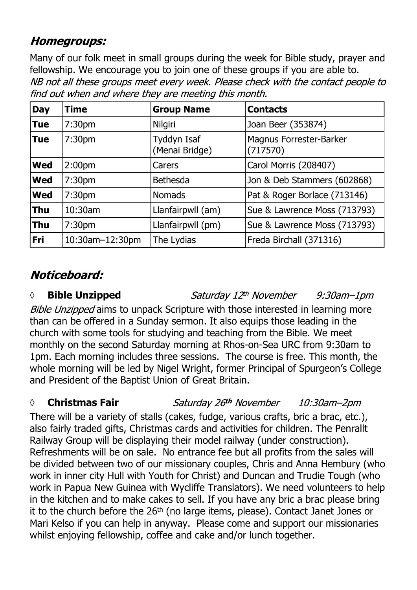# **Homegroups:**

Many of our folk meet in small groups during the week for Bible study, prayer and fellowship. We encourage you to join one of these groups if you are able to.NB not all these groups meet every week. Please check with the contact people to find out when and where they are meeting this month.

| <b>Day</b> | Time               | <b>Group Name</b>             | <b>Contacts</b>                     |
|------------|--------------------|-------------------------------|-------------------------------------|
| <b>Tue</b> | 7:30 <sub>pm</sub> | Nilgiri                       | Joan Beer (353874)                  |
| <b>Tue</b> | 7:30 <sub>pm</sub> | Tyddyn Isaf<br>(Menai Bridge) | Magnus Forrester-Barker<br>(717570) |
| <b>Wed</b> | 2:00 <sub>pm</sub> | Carers                        | Carol Morris (208407)               |
| <b>Wed</b> | 7:30pm             | <b>Bethesda</b>               | Jon & Deb Stammers (602868)         |
| <b>Wed</b> | 7:30 <sub>pm</sub> | <b>Nomads</b>                 | Pat & Roger Borlace (713146)        |
| <b>Thu</b> | 10:30am            | Llanfairpwll (am)             | Sue & Lawrence Moss (713793)        |
| <b>Thu</b> | 7:30pm             | Llanfairpwll (pm)             | Sue & Lawrence Moss (713793)        |
| Fri        | 10:30am-12:30pm    | The Lydias                    | Freda Birchall (371316)             |

# Noticeboard:

### *◊* **Bible Unzipped**

Bible Unzipped aims to unpack Scripture with those interested in learning more than can be offered in a Sunday sermon. It also equips those leading in the church with some tools for studying and teaching from the Bible. We meet monthly on the second Saturday morning at Rhos-on-Sea URC from 9:30am to 1pm. Each morning includes three sessions. The course is free. This month, the whole morning will be led by Nigel Wright, former Principal of Spurgeon's College and President of the Baptist Union of Great Britain.

*◊* **Christmas Fair**

Saturday 26th November 10:30am-2pm

 $9:30$ am $-1$ pm

Saturday 12th November

There will be a variety of stalls (cakes, fudge, various crafts, bric a brac, etc.), also fairly traded gifts, Christmas cards and activities for children. The Penrallt Railway Group will be displaying their model railway (under construction). Refreshments will be on sale. No entrance fee but all profits from the sales will be divided between two of our missionary couples, Chris and Anna Hembury (who work in inner city Hull with Youth for Christ) and Duncan and Trudie Tough (who work in Papua New Guinea with Wycliffe Translators). We need volunteers to help in the kitchen and to make cakes to sell. If you have any bric a brac please bring it to the church before the 26<sup>th</sup> (no large items, please). Contact Janet Jones or Mari Kelso if you can help in anyway. Please come and support our missionaries whilst enjoying fellowship, coffee and cake and/or lunch together.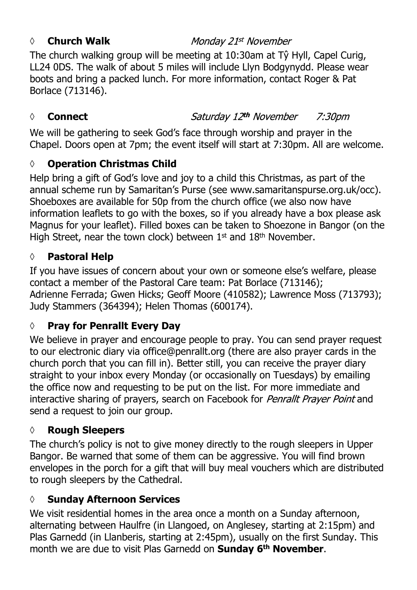#### *◊* **Church Walk**

#### Monday 21st November

The church walking group will be meeting at 10:30am at Tŷ Hyll, Capel Curig, LL24 0DS. The walk of about 5 miles will include Llyn Bodgynydd. Please wear boots and bring a packed lunch. For more information, contact Roger & Pat Borlace (713146).

#### *◊* **Connect**

Saturday 12th November 7:30pm

We will be gathering to seek God's face through worship and prayer in the Chapel. Doors open at 7pm; the event itself will start at 7:30pm. All are welcome.

#### **◊ Operation Christmas Child**

Help bring a gift of God's love and joy to a child this Christmas, as part of the annual scheme run by Samaritan's Purse (see www.samaritanspurse.org.uk/occ). Shoeboxes are available for 50p from the church office (we also now have information leaflets to go with the boxes, so if you already have a box please ask Magnus for your leaflet). Filled boxes can be taken to Shoezone in Bangor (on the High Street, near the town clock) between 1<sup>st</sup> and 18<sup>th</sup> November.

#### **◊ Pastoral Help**

If you have issues of concern about your own or someone else's welfare, please contact a member of the Pastoral Care team: Pat Borlace (713146); Adrienne Ferrada; Gwen Hicks; Geoff Moore (410582); Lawrence Moss (713793); Judy Stammers (364394); Helen Thomas (600174).

## **◊ Pray for Penrallt Every Day**

We believe in prayer and encourage people to pray. You can send prayer request to our electronic diary via office@penrallt.org (there are also prayer cards in the church porch that you can fill in). Better still, you can receive the prayer diary straight to your inbox every Monday (or occasionally on Tuesdays) by emailing the office now and requesting to be put on the list. For more immediate and interactive sharing of prayers, search on Facebook for Penrallt Prayer Point and send a request to join our group.

#### **◊ Rough Sleepers**

The church's policy is not to give money directly to the rough sleepers in Upper Bangor. Be warned that some of them can be aggressive. You will find brown envelopes in the porch for a gift that will buy meal vouchers which are distributed to rough sleepers by the Cathedral.

#### **◊ Sunday Afternoon Services**

We visit residential homes in the area once a month on a Sunday afternoon, alternating between Haulfre (in Llangoed, on Anglesey, starting at 2:15pm) and Plas Garnedd (in Llanberis, starting at 2:45pm), usually on the first Sunday. This month we are due to visit Plas Garnedd on **Sunday 6th November**.